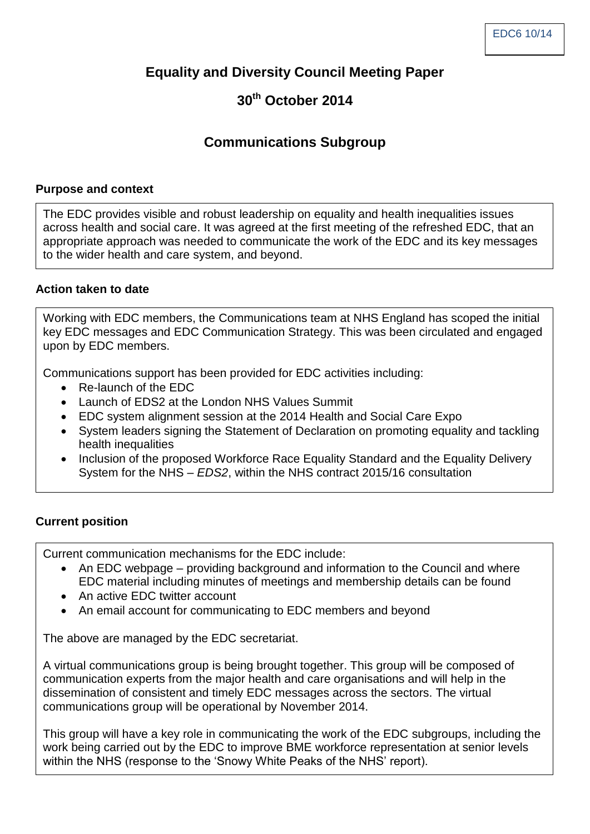# **Equality and Diversity Council Meeting Paper**

# **30th October 2014**

## **Communications Subgroup**

#### **Purpose and context**

The EDC provides visible and robust leadership on equality and health inequalities issues across health and social care. It was agreed at the first meeting of the refreshed EDC, that an appropriate approach was needed to communicate the work of the EDC and its key messages to the wider health and care system, and beyond.

#### **Action taken to date**

Working with EDC members, the Communications team at NHS England has scoped the initial key EDC messages and EDC Communication Strategy. This was been circulated and engaged upon by EDC members.

Communications support has been provided for EDC activities including:

- Re-launch of the EDC
- Launch of EDS2 at the London NHS Values Summit
- EDC system alignment session at the 2014 Health and Social Care Expo
- System leaders signing the Statement of Declaration on promoting equality and tackling health inequalities
- Inclusion of the proposed Workforce Race Equality Standard and the Equality Delivery System for the NHS – *EDS2*, within the NHS contract 2015/16 consultation

#### **Current position**

Current communication mechanisms for the EDC include:

- An EDC webpage providing background and information to the Council and where EDC material including minutes of meetings and membership details can be found
- An active EDC twitter account
- An email account for communicating to EDC members and beyond

The above are managed by the EDC secretariat.

A virtual communications group is being brought together. This group will be composed of communication experts from the major health and care organisations and will help in the dissemination of consistent and timely EDC messages across the sectors. The virtual communications group will be operational by November 2014.

This group will have a key role in communicating the work of the EDC subgroups, including the work being carried out by the EDC to improve BME workforce representation at senior levels within the NHS (response to the 'Snowy White Peaks of the NHS' report).